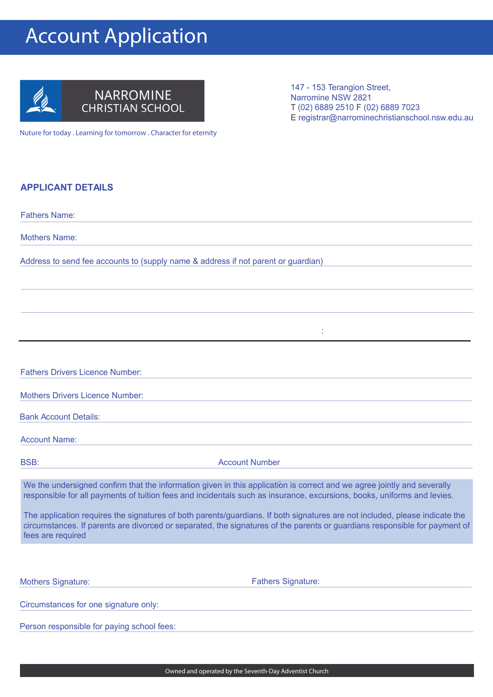## Account Application



Nuture for today . Learning for tomorrow . Character for eternity

147 - 153 Terangion Street, Narromine NSW 2821 T (02) 6889 2510 F (02) 6889 7023 E registrar@narrominechristianschool.nsw.edu.au

## **APPLICANT DETAILS**

| <b>Fathers Name:</b>                   |                                                                                                                                                                                                                                                           |
|----------------------------------------|-----------------------------------------------------------------------------------------------------------------------------------------------------------------------------------------------------------------------------------------------------------|
| <b>Mothers Name:</b>                   |                                                                                                                                                                                                                                                           |
|                                        | Address to send fee accounts to (supply name & address if not parent or guardian)                                                                                                                                                                         |
|                                        |                                                                                                                                                                                                                                                           |
|                                        |                                                                                                                                                                                                                                                           |
|                                        |                                                                                                                                                                                                                                                           |
|                                        |                                                                                                                                                                                                                                                           |
| <b>Fathers Drivers Licence Number:</b> |                                                                                                                                                                                                                                                           |
| <b>Mothers Drivers Licence Number:</b> |                                                                                                                                                                                                                                                           |
| <b>Bank Account Details:</b>           |                                                                                                                                                                                                                                                           |
| <b>Account Name:</b>                   |                                                                                                                                                                                                                                                           |
| <b>BSB:</b>                            | <b>Account Number</b>                                                                                                                                                                                                                                     |
|                                        | We the undersigned confirm that the information given in this application is correct and we agree jointly and severally<br>responsible for all payments of tuition fees and incidentals such as insurance, excursions, books, uniforms and levies.        |
| fees are required                      | The application requires the signatures of both parents/guardians. If both signatures are not included, please indicate the<br>circumstances. If parents are divorced or separated, the signatures of the parents or guardians responsible for payment of |
|                                        |                                                                                                                                                                                                                                                           |
| <b>Mothers Signature:</b>              | <b>Fathers Signature:</b>                                                                                                                                                                                                                                 |
|                                        |                                                                                                                                                                                                                                                           |

Circumstances for one signature only:

Person responsible for paying school fees: